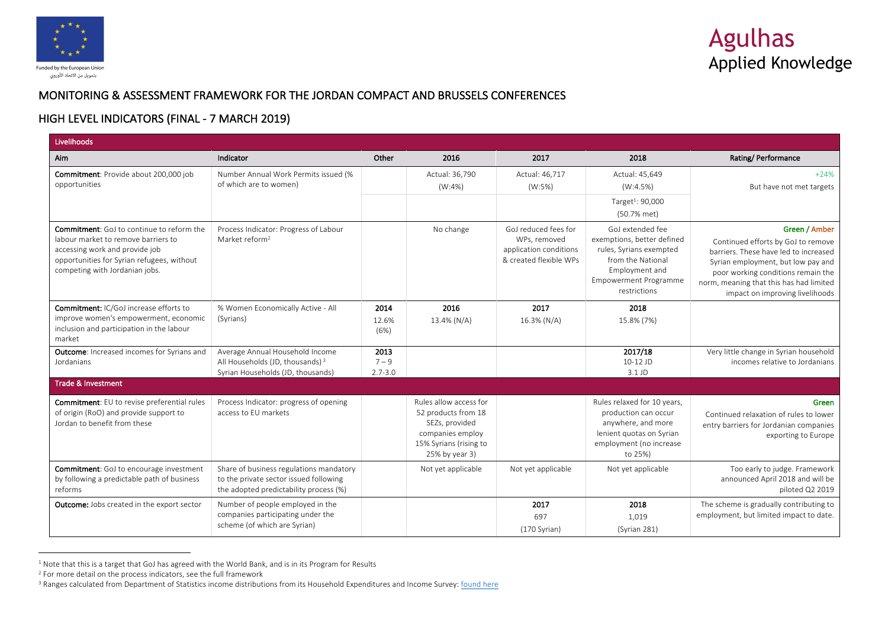

## MONITORING & ASSESSMENT FRAMEWORK FOR THE JORDAN COMPACT AND BRUSSELS CONFERENCES

## HIGH LEVEL INDICATORS (FINAL - 7 MARCH 2019)

| Livelihoods                                                                                                                                                                                               |                                                                                                                             |                                |                                                                                                                                 |                                                                                          |                                                                                                                                                                  |                                                                                                                                                                                                                                                        |
|-----------------------------------------------------------------------------------------------------------------------------------------------------------------------------------------------------------|-----------------------------------------------------------------------------------------------------------------------------|--------------------------------|---------------------------------------------------------------------------------------------------------------------------------|------------------------------------------------------------------------------------------|------------------------------------------------------------------------------------------------------------------------------------------------------------------|--------------------------------------------------------------------------------------------------------------------------------------------------------------------------------------------------------------------------------------------------------|
| Aim                                                                                                                                                                                                       | Indicator                                                                                                                   | Other                          | 2016                                                                                                                            | 2017                                                                                     | 2018                                                                                                                                                             | Rating/Performance                                                                                                                                                                                                                                     |
| Commitment: Provide about 200,000 job<br>opportunities                                                                                                                                                    | Number Annual Work Permits issued (%<br>of which are to women)                                                              |                                | Actual: 36,790<br>(W:4%)                                                                                                        | Actual: 46,717<br>(W:5%)                                                                 | Actual: 45,649<br>(W:4.5%)<br>Target <sup>1</sup> : 90,000<br>(50.7% met)                                                                                        | $+24%$<br>But have not met targets                                                                                                                                                                                                                     |
| <b>Commitment:</b> GoJ to continue to reform the<br>labour market to remove barriers to<br>accessing work and provide job<br>opportunities for Syrian refugees, without<br>competing with Jordanian jobs. | Process Indicator: Progress of Labour<br>Market reform <sup>2</sup>                                                         |                                | No change                                                                                                                       | GoJ reduced fees for<br>WPs, removed<br>application conditions<br>& created flexible WPs | GoJ extended fee<br>exemptions, better defined<br>rules, Syrians exempted<br>from the National<br>Employment and<br><b>Empowerment Programme</b><br>restrictions | Green / Amber<br>Continued efforts by GoJ to remove<br>barriers. These have led to increased<br>Syrian employment, but low pay and<br>poor working conditions remain the<br>norm, meaning that this has had limited<br>impact on improving livelihoods |
| <b>Commitment: IC/GoJ increase efforts to</b><br>improve women's empowerment, economic<br>inclusion and participation in the labour<br>market                                                             | % Women Economically Active - All<br>(Syrians)                                                                              | 2014<br>12.6%<br>(6%)          | 2016<br>13.4% (N/A)                                                                                                             | 2017<br>16.3% (N/A)                                                                      | 2018<br>15.8% (7%)                                                                                                                                               |                                                                                                                                                                                                                                                        |
| <b>Outcome:</b> Increased incomes for Syrians and<br>Jordanians                                                                                                                                           | Average Annual Household Income<br>All Households (JD, thousands) <sup>3</sup><br>Syrian Households (JD, thousands)         | 2013<br>$7 - 9$<br>$2.7 - 3.0$ |                                                                                                                                 |                                                                                          | 2017/18<br>10-12 JD<br>3.1 JD                                                                                                                                    | Very little change in Syrian household<br>incomes relative to Jordanians                                                                                                                                                                               |
| <b>Trade &amp; Investment</b>                                                                                                                                                                             |                                                                                                                             |                                |                                                                                                                                 |                                                                                          |                                                                                                                                                                  |                                                                                                                                                                                                                                                        |
| <b>Commitment:</b> EU to revise preferential rules<br>of origin (RoO) and provide support to<br>Jordan to benefit from these                                                                              | Process Indicator: progress of opening<br>access to EU markets                                                              |                                | Rules allow access for<br>52 products from 18<br>SEZs, provided<br>companies employ<br>15% Syrians (rising to<br>25% by year 3) |                                                                                          | Rules relaxed for 10 years,<br>production can occur<br>anywhere, and more<br>lenient quotas on Syrian<br>employment (no increase<br>to 25%)                      | Green<br>Continued relaxation of rules to lower<br>entry barriers for Jordanian companies<br>exporting to Europe                                                                                                                                       |
| <b>Commitment:</b> GoJ to encourage investment<br>by following a predictable path of business<br>reforms                                                                                                  | Share of business regulations mandatory<br>to the private sector issued following<br>the adopted predictability process (%) |                                | Not yet applicable                                                                                                              | Not yet applicable                                                                       | Not yet applicable                                                                                                                                               | Too early to judge. Framework<br>announced April 2018 and will be<br>piloted Q2 2019                                                                                                                                                                   |
| <b>Outcome:</b> Jobs created in the export sector                                                                                                                                                         | Number of people employed in the<br>companies participating under the<br>scheme (of which are Syrian)                       |                                |                                                                                                                                 | 2017<br>697<br>(170 Syrian)                                                              | 2018<br>1,019<br>(Syrian 281)                                                                                                                                    | The scheme is gradually contributing to<br>employment, but limited impact to date.                                                                                                                                                                     |

 $1$  Note that this is a target that GoJ has agreed with the World Bank, and is in its Program for Results

 $\overline{a}$ 

<sup>2</sup> For more detail on the process indicators, see the full framework

<sup>&</sup>lt;sup>3</sup> Ranges calculated from Department of Statistics income distributions from its Household Expenditures and Income Survey: found here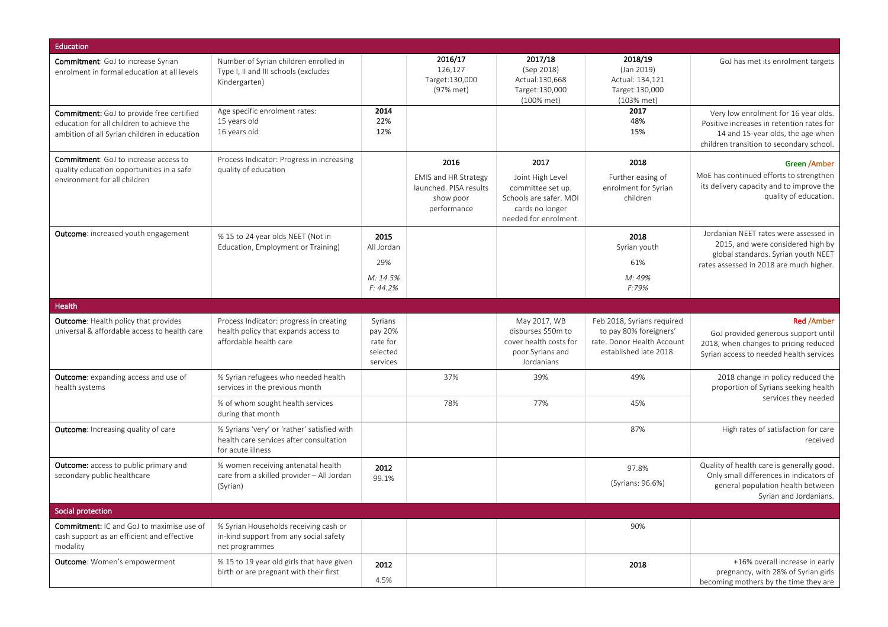| <b>Education</b>                                                                                                                              |                                                                                                             |                                                        |                                                                                           |                                                                                                                     |                                                                                                              |                                                                                                                                                                    |
|-----------------------------------------------------------------------------------------------------------------------------------------------|-------------------------------------------------------------------------------------------------------------|--------------------------------------------------------|-------------------------------------------------------------------------------------------|---------------------------------------------------------------------------------------------------------------------|--------------------------------------------------------------------------------------------------------------|--------------------------------------------------------------------------------------------------------------------------------------------------------------------|
| Commitment: GoJ to increase Syrian<br>enrolment in formal education at all levels                                                             | Number of Syrian children enrolled in<br>Type I, II and III schools (excludes<br>Kindergarten)              |                                                        | 2016/17<br>126,127<br>Target: 130,000<br>(97% met)                                        | 2017/18<br>(Sep 2018)<br>Actual:130,668<br>Target:130,000<br>(100% met)                                             | 2018/19<br>(Jan 2019)<br>Actual: 134,121<br>Target:130,000<br>(103% met)                                     | GoJ has met its enrolment targets                                                                                                                                  |
| <b>Commitment:</b> GoJ to provide free certified<br>education for all children to achieve the<br>ambition of all Syrian children in education | Age specific enrolment rates:<br>15 years old<br>16 years old                                               | 2014<br>22%<br>12%                                     |                                                                                           |                                                                                                                     | 2017<br>48%<br>15%                                                                                           | Very low enrolment for 16 year olds.<br>Positive increases in retention rates for<br>14 and 15-year olds, the age when<br>children transition to secondary school. |
| <b>Commitment:</b> GoJ to increase access to<br>quality education opportunities in a safe<br>environment for all children                     | Process Indicator: Progress in increasing<br>quality of education                                           |                                                        | 2016<br><b>EMIS and HR Strategy</b><br>launched. PISA results<br>show poor<br>performance | 2017<br>Joint High Level<br>committee set up.<br>Schools are safer. MOI<br>cards no longer<br>needed for enrolment. | 2018<br>Further easing of<br>enrolment for Syrian<br>children                                                | Green /Amber<br>MoE has continued efforts to strengthen<br>its delivery capacity and to improve the<br>quality of education.                                       |
| <b>Outcome:</b> increased youth engagement                                                                                                    | % 15 to 24 year olds NEET (Not in<br>Education, Employment or Training)                                     | 2015<br>All Jordan<br>29%<br>M: 14.5%<br>F: 44.2%      |                                                                                           |                                                                                                                     | 2018<br>Syrian youth<br>61%<br>M: 49%<br>F:79%                                                               | Jordanian NEET rates were assessed in<br>2015, and were considered high by<br>global standards. Syrian youth NEET<br>rates assessed in 2018 are much higher.       |
| Health                                                                                                                                        |                                                                                                             |                                                        |                                                                                           |                                                                                                                     |                                                                                                              |                                                                                                                                                                    |
| <b>Outcome:</b> Health policy that provides<br>universal & affordable access to health care                                                   | Process Indicator: progress in creating<br>health policy that expands access to<br>affordable health care   | Syrians<br>pay 20%<br>rate for<br>selected<br>services |                                                                                           | May 2017, WB<br>disburses \$50m to<br>cover health costs for<br>poor Syrians and<br>Jordanians                      | Feb 2018, Syrians required<br>to pay 80% foreigners'<br>rate. Donor Health Account<br>established late 2018. | <b>Red /Amber</b><br>GoJ provided generous support until<br>2018, when changes to pricing reduced<br>Syrian access to needed health services                       |
| <b>Outcome:</b> expanding access and use of<br>health systems                                                                                 | % Syrian refugees who needed health<br>services in the previous month                                       |                                                        | 37%                                                                                       | 39%                                                                                                                 | 49%                                                                                                          | 2018 change in policy reduced the<br>proportion of Syrians seeking health                                                                                          |
|                                                                                                                                               | % of whom sought health services<br>during that month                                                       |                                                        | 78%                                                                                       | 77%                                                                                                                 | 45%                                                                                                          | services they needed                                                                                                                                               |
| <b>Outcome:</b> Increasing quality of care                                                                                                    | % Syrians 'very' or 'rather' satisfied with<br>health care services after consultation<br>for acute illness |                                                        |                                                                                           |                                                                                                                     | 87%                                                                                                          | High rates of satisfaction for care<br>received                                                                                                                    |
| <b>Outcome:</b> access to public primary and<br>secondary public healthcare                                                                   | % women receiving antenatal health<br>care from a skilled provider - All Jordan<br>(Syrian)                 | 2012<br>99.1%                                          |                                                                                           |                                                                                                                     | 97.8%<br>(Syrians: 96.6%)                                                                                    | Quality of health care is generally good.<br>Only small differences in indicators of<br>general population health between<br>Syrian and Jordanians.                |
| Social protection                                                                                                                             |                                                                                                             |                                                        |                                                                                           |                                                                                                                     |                                                                                                              |                                                                                                                                                                    |
| <b>Commitment:</b> IC and GoJ to maximise use of<br>cash support as an efficient and effective<br>modality                                    | % Syrian Households receiving cash or<br>in-kind support from any social safety<br>net programmes           |                                                        |                                                                                           |                                                                                                                     | 90%                                                                                                          |                                                                                                                                                                    |
| <b>Outcome:</b> Women's empowerment                                                                                                           | % 15 to 19 year old girls that have given<br>birth or are pregnant with their first                         | 2012<br>4.5%                                           |                                                                                           |                                                                                                                     | 2018                                                                                                         | +16% overall increase in early<br>pregnancy, with 28% of Syrian girls<br>becoming mothers by the time they are                                                     |